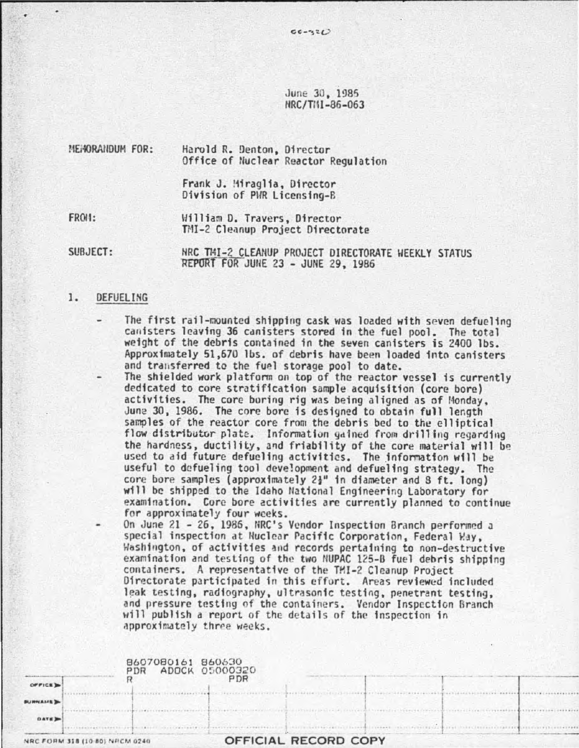June 30, 1985 HRC/TIII-86-063

 $00 - 320$ 

MEMORANDUM FOR: Harold R. Denton, Director Office of Nuclear Reactor Regulation Frank J. !1iragl1a, Director Division of PHR Licensing-B

FROII:

llilliam o. Travers, Of rector TMI-2 Cleanup Project Directorate

SUBJECT: NRC TMI-2 CLEANUP PROJECT DIRECTORATE WEEKLY STATUS REPORT FOR JUNE 23 - JUNE 29, 1986

# 1. DEFUELING

- The first rail-mounted shipping cask was loaded with seven defueling cauisters leaving 36 canisters stored in the fuel pool. The total weight of the debris contained in the seven canisters is 2400 lbs. Approximately 51,670 lbs. of debris have been loaded into canisters and transferred to the fuel storage pool to date.
	- The shielded work platform on top of the reactor vessel is currently dedicated to core stratification sample acquisition (core bore) activities. The core boring rig was being aligned as of f4onday. Juna 30, 1986. The core bore is designed to obtain full length samples of the reactor core from the debris bed to the elliptical flow distributor plate. Information gained from drilling regarding the hardness, ductility, and friability of the core material will be used to aid future defueling activities. The information will be useful to defueling tool development and defueling strategy. The core bore samples (approximately  $2<sub>3</sub>$ " in diameter and 8 ft. long) will be shipped to the Idaho National Engineering Laboratory for examination. Core bore activities are currently planned to continue for approximately four weeks.

On June 21 - 26, 1986, NRC's Vendor Inspection Branch performed a special inspection at Nuclear Pacific Corporation, Federal May, Washington, of activities and records pertaining to non-destructive examination and testing of the two NUPAC 125-B fuel debris shipping containers. A representative of the THI-2 Cleanup Project Directorate participated in this effort. Areas reviewed included leak testing, radiography, ultrasonic testing, penetrant testing, and pressure testing of the containers. Vendor Inspection Branch will publish a report of the details of the inspection in approximately three weeks.

| PDR |                                            |  |
|-----|--------------------------------------------|--|
|     | 8607080161 860630<br>ADOCK 05000320<br>PDR |  |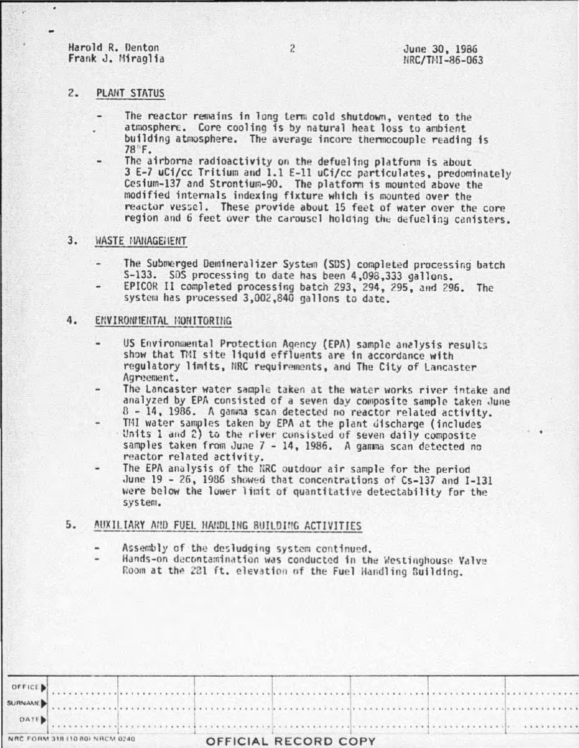Harold R. Denton Frank J. Miraglia

# $2.$ PLANT STATUS

- The reactor remains in long term cold shutdown, vented to the atmosphere. Core cooling is by natural heat loss to ambient building atmosphere. The average incore thermocouple reading is 78°F.
	- The airborne radioactivity on the defueling platform is about 3 E-7 uCi/cc Tritium and 1.1 E-11 uCi/cc particulates, predominately Cesium-137 and Strontium-90. The platform is mounted above the modified internals indexing fixture which is mounted over the reactor vessel. These provide about 15 feet of water over the core region and 6 feet over the carousel holding the defueling canisters.

## $3.$ WASTE HANAGEHENT

- The Submerged Demineralizer System (SDS) completed processing batch S-133. SDS processing to date has been 4,098,333 gallons.
- EPICOR II completed processing batch 293, 294, 295, and 296. The system has processed 3,002,840 gallons to date.

#### 4. ENVIRONMENTAL MONITORING

- US Environmental Protection Agency (EPA) sample analysis results show that TMI site liquid effluents are in accordance with regulatory limits, NRC requirements, and The City of Lancaster Agreement.
- The Lancaster water sample taken at the water works river intake and analyzed by EPA consisted of a seven day composite sample taken June 8 - 14, 1986. A ganwna scan detected no reactor related activity.
- THI water samples taken by EPA at the plant discharge (includes Units 1 and 2) to the river consisted of seven daily composite samples taken from June 7 - 14, 1986. A gamma scan detected no reactor related activity.
- The EPA analysis of the NRC outdoor air sample for the period June 19 - 26, 1986 showed that concentrations of Cs-137 and I-131 were below the lower limit of quantitative detectability for the system.

## 5. AUXILIARY AND FUEL HANDLING BUILDING ACTIVITIES

- Assembly of the desludging system continued.
- Hands-on decontamination was conducted in the Westinghouse Valve Room at the 281 ft. elevation of the Fuel Handling Building.

| NRC FORM 318 (10 80) NRCM 0240 | OFFICIAL RECORD COPY                                                                                                                                                                                                                      |  |
|--------------------------------|-------------------------------------------------------------------------------------------------------------------------------------------------------------------------------------------------------------------------------------------|--|
|                                | OFFICE )<br>DATED CONTENTS OF CONTENTS OF CONTENTS OF CONTENTS OF CONTENTS OF CONTENTS OF CONTENTS OF CONTENTS OF CONTENTS OF CONTENTS OF CONTENTS OF CONTENTS OF CONTENTS OF CONTENTS OF CONTENTS OF CONTENTS OF CONTENTS OF CONTENTS OF |  |
|                                |                                                                                                                                                                                                                                           |  |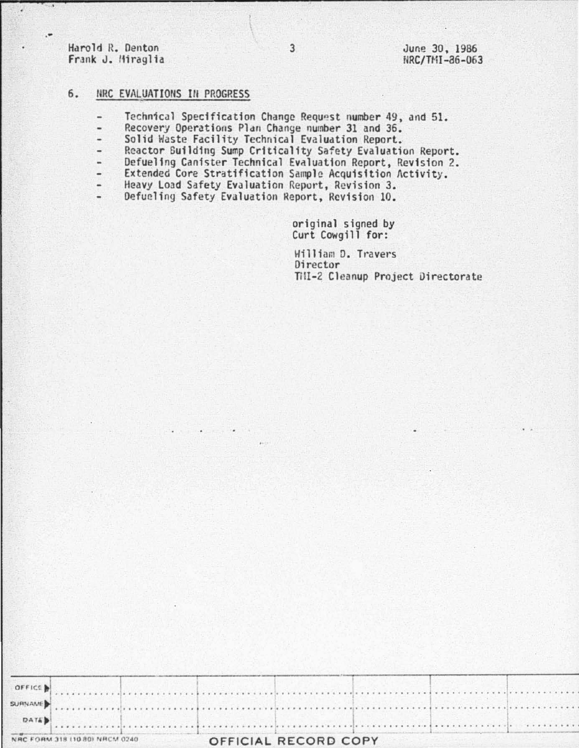Harold R. Denton Frank J. Hiraglia

G

June 30, 1986 NRC/TMI-86-063

# 6. NRC EVALUATIONS IN PROGRESS

- Technical Specification Change Request number 49, and 51.  $\overline{\phantom{a}}$
- Recovery Operations Plan Change number 31 and 36. u
- Solid Waste Facility Technical Evaluation Report.
- Reactor Building Sump Criticality Safety Evaluation Report.
- Defueling Canister Technical Evaluation Report, Revision 2.
- Extended Core Stratification Sample Acquisition Activity. u
- Heavy Load Safety Evaluation Report, Revision 3.
- Defueling Safety Evaluation Report, Revision 10. -

original signed by Curt Cowgill for:

William D. Travers Director Till-2 Cleanup Project Directorate

| NAC FORM 318 (10.80) NRCM 0240                                                                                                                                                                                                 |  | OFFICIAL RECORD CORY |  |  |  |  |
|--------------------------------------------------------------------------------------------------------------------------------------------------------------------------------------------------------------------------------|--|----------------------|--|--|--|--|
| <b>DATE)</b>                                                                                                                                                                                                                   |  |                      |  |  |  |  |
| summanue) contra construction de construction de la construction de la construction de la construction de la construction de la construction de la construction de la construction de la construction de la construction de la |  |                      |  |  |  |  |
|                                                                                                                                                                                                                                |  |                      |  |  |  |  |